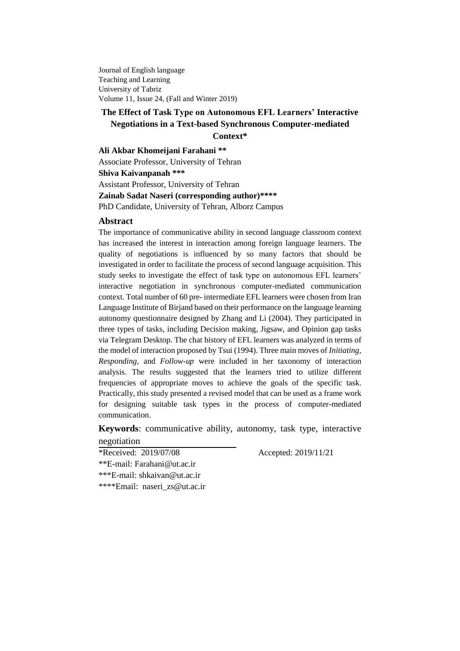Journal of English language Teaching and Learning University of Tabriz Volume 11, Issue 24, (Fall and Winter 2019)

# **The Effect of Task Type on Autonomous EFL Learners' Interactive Negotiations in a Text-based Synchronous Computer-mediated Context\***

**Ali Akbar Khomeijani Farahani \*\*** Associate Professor, University of Tehran **Shiva Kaivanpanah \*\*\*** Assistant Professor, University of Tehran **Zainab Sadat Naseri (corresponding author)\*\*\*\*** PhD Candidate, University of Tehran, Alborz Campus

### **Abstract**

The importance of communicative ability in second language classroom context has increased the interest in interaction among foreign language learners. The quality of negotiations is influenced by so many factors that should be investigated in order to facilitate the process of second language acquisition. This study seeks to investigate the effect of task type on autonomous EFL learners' interactive negotiation in synchronous computer-mediated communication context. Total number of 60 pre- intermediate EFL learners were chosen from Iran Language Institute of Birjand based on their performance on the language learning autonomy questionnaire designed by Zhang and Li (2004). They participated in three types of tasks, including Decision making, Jigsaw, and Opinion gap tasks via Telegram Desktop. The chat history of EFL learners was analyzed in terms of the model of interaction proposed by Tsui (1994). Three main moves of *Initiating*, *Responding*, and *Follow-up* were included in her taxonomy of interaction analysis. The results suggested that the learners tried to utilize different frequencies of appropriate moves to achieve the goals of the specific task. Practically, this study presented a revised model that can be used as a frame work for designing suitable task types in the process of computer-mediated communication.

**Keywords**: communicative ability, autonomy, task type, interactive negotiation

\*Received: 2019/07/08 Accepted: 2019/11/21 \*\*E-mail: [Farahani@ut.ac.ir](mailto:Farahani@ut.ac.ir) \*\*\*E-mail: [shkaivan@ut.ac.ir](mailto:shkaivan@ut.ac.ir) \*\*\*\*Email: [naseri\\_zs@ut.ac.ir](mailto:naseri_zs@ut.ac.ir)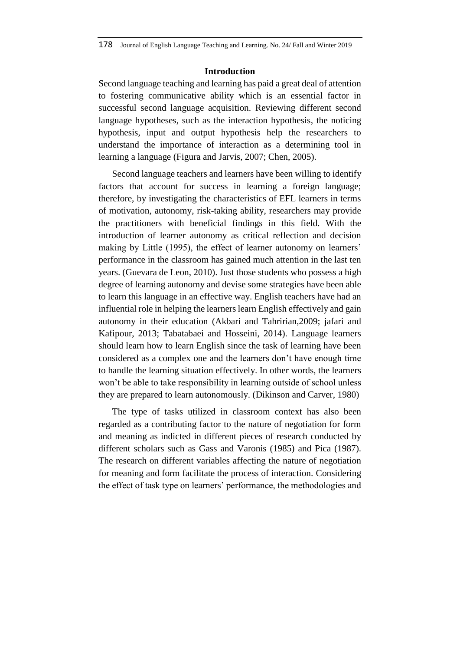### **Introduction**

Second language teaching and learning has paid a great deal of attention to fostering communicative ability which is an essential factor in successful second language acquisition. Reviewing different second language hypotheses, such as the interaction hypothesis, the noticing hypothesis, input and output hypothesis help the researchers to understand the importance of interaction as a determining tool in learning a language (Figura and Jarvis, 2007; Chen, 2005).

Second language teachers and learners have been willing to identify factors that account for success in learning a foreign language; therefore, by investigating the characteristics of EFL learners in terms of motivation, autonomy, risk-taking ability, researchers may provide the practitioners with beneficial findings in this field. With the introduction of learner autonomy as critical reflection and decision making by Little (1995), the effect of learner autonomy on learners' performance in the classroom has gained much attention in the last ten years. (Guevara de Leon, 2010). Just those students who possess a high degree of learning autonomy and devise some strategies have been able to learn this language in an effective way. English teachers have had an influential role in helping the learners learn English effectively and gain autonomy in their education (Akbari and Tahririan,2009; jafari and Kafipour, 2013; Tabatabaei and Hosseini, 2014). Language learners should learn how to learn English since the task of learning have been considered as a complex one and the learners don't have enough time to handle the learning situation effectively. In other words, the learners won't be able to take responsibility in learning outside of school unless they are prepared to learn autonomously. (Dikinson and Carver, 1980)

The type of tasks utilized in classroom context has also been regarded as a contributing factor to the nature of negotiation for form and meaning as indicted in different pieces of research conducted by different scholars such as Gass and Varonis (1985) and Pica (1987). The research on different variables affecting the nature of negotiation for meaning and form facilitate the process of interaction. Considering the effect of task type on learners' performance, the methodologies and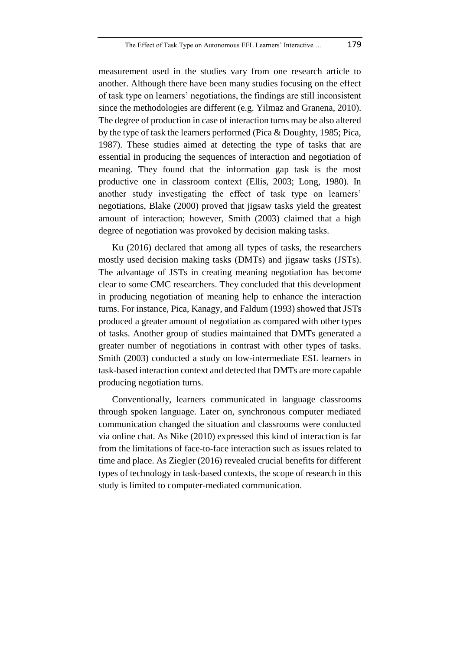measurement used in the studies vary from one research article to another. Although there have been many studies focusing on the effect of task type on learners' negotiations, the findings are still inconsistent since the methodologies are different (e.g. Yilmaz and Granena, 2010). The degree of production in case of interaction turns may be also altered by the type of task the learners performed (Pica & Doughty, 1985; Pica, 1987). These studies aimed at detecting the type of tasks that are essential in producing the sequences of interaction and negotiation of meaning. They found that the information gap task is the most productive one in classroom context (Ellis, 2003; Long, 1980). In another study investigating the effect of task type on learners' negotiations, Blake (2000) proved that jigsaw tasks yield the greatest amount of interaction; however, Smith (2003) claimed that a high degree of negotiation was provoked by decision making tasks.

Ku (2016) declared that among all types of tasks, the researchers mostly used decision making tasks (DMTs) and jigsaw tasks (JSTs). The advantage of JSTs in creating meaning negotiation has become clear to some CMC researchers. They concluded that this development in producing negotiation of meaning help to enhance the interaction turns. For instance, Pica, Kanagy, and Faldum (1993) showed that JSTs produced a greater amount of negotiation as compared with other types of tasks. Another group of studies maintained that DMTs generated a greater number of negotiations in contrast with other types of tasks. Smith (2003) conducted a study on low-intermediate ESL learners in task-based interaction context and detected that DMTs are more capable producing negotiation turns.

Conventionally, learners communicated in language classrooms through spoken language. Later on, synchronous computer mediated communication changed the situation and classrooms were conducted via online chat. As Nike (2010) expressed this kind of interaction is far from the limitations of face-to-face interaction such as issues related to time and place. As Ziegler (2016) revealed crucial benefits for different types of technology in task-based contexts, the scope of research in this study is limited to computer-mediated communication.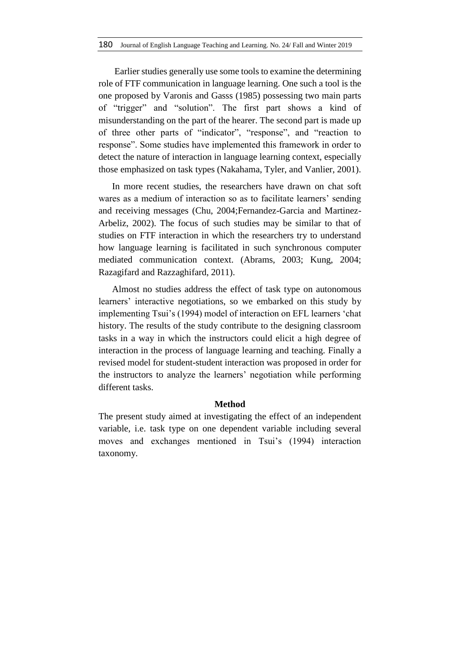Earlier studies generally use some tools to examine the determining role of FTF communication in language learning. One such a tool is the one proposed by Varonis and Gasss (1985) possessing two main parts of "trigger" and "solution". The first part shows a kind of misunderstanding on the part of the hearer. The second part is made up of three other parts of "indicator", "response", and "reaction to response". Some studies have implemented this framework in order to detect the nature of interaction in language learning context, especially those emphasized on task types (Nakahama, Tyler, and Vanlier, 2001).

In more recent studies, the researchers have drawn on chat soft wares as a medium of interaction so as to facilitate learners' sending and receiving messages (Chu, 2004;Fernandez-Garcia and Martinez-Arbeliz, 2002). The focus of such studies may be similar to that of studies on FTF interaction in which the researchers try to understand how language learning is facilitated in such synchronous computer mediated communication context. (Abrams, 2003; Kung, 2004; Razagifard and Razzaghifard, 2011).

Almost no studies address the effect of task type on autonomous learners' interactive negotiations, so we embarked on this study by implementing Tsui's (1994) model of interaction on EFL learners 'chat history. The results of the study contribute to the designing classroom tasks in a way in which the instructors could elicit a high degree of interaction in the process of language learning and teaching. Finally a revised model for student-student interaction was proposed in order for the instructors to analyze the learners' negotiation while performing different tasks.

#### **Method**

The present study aimed at investigating the effect of an independent variable, i.e. task type on one dependent variable including several moves and exchanges mentioned in Tsui's (1994) interaction taxonomy.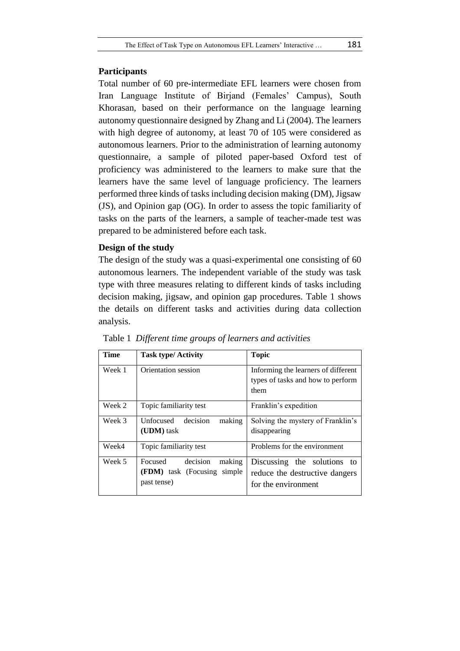## **Participants**

Total number of 60 pre-intermediate EFL learners were chosen from Iran Language Institute of Birjand (Females' Campus), South Khorasan, based on their performance on the language learning autonomy questionnaire designed by Zhang and Li (2004). The learners with high degree of autonomy, at least 70 of 105 were considered as autonomous learners. Prior to the administration of learning autonomy questionnaire, a sample of piloted paper-based Oxford test of proficiency was administered to the learners to make sure that the learners have the same level of language proficiency. The learners performed three kinds of tasks including decision making (DM), Jigsaw (JS), and Opinion gap (OG). In order to assess the topic familiarity of tasks on the parts of the learners, a sample of teacher-made test was prepared to be administered before each task.

## **Design of the study**

The design of the study was a quasi-experimental one consisting of 60 autonomous learners. The independent variable of the study was task type with three measures relating to different kinds of tasks including decision making, jigsaw, and opinion gap procedures. Table 1 shows the details on different tasks and activities during data collection analysis.

| Time   | <b>Task type/ Activity</b>                                                  | <b>Topic</b>                                                                            |
|--------|-----------------------------------------------------------------------------|-----------------------------------------------------------------------------------------|
| Week 1 | Orientation session                                                         | Informing the learners of different<br>types of tasks and how to perform<br>them        |
| Week 2 | Topic familiarity test                                                      | Franklin's expedition                                                                   |
| Week 3 | decision<br>Unfocused<br>making<br>( <b>UDM</b> ) task                      | Solving the mystery of Franklin's<br>disappearing                                       |
| Week4  | Topic familiarity test                                                      | Problems for the environment                                                            |
| Week 5 | decision<br>Focused<br>making<br>(FDM) task (Focusing simple<br>past tense) | Discussing the solutions<br>to<br>reduce the destructive dangers<br>for the environment |

Table 1 *Different time groups of learners and activities*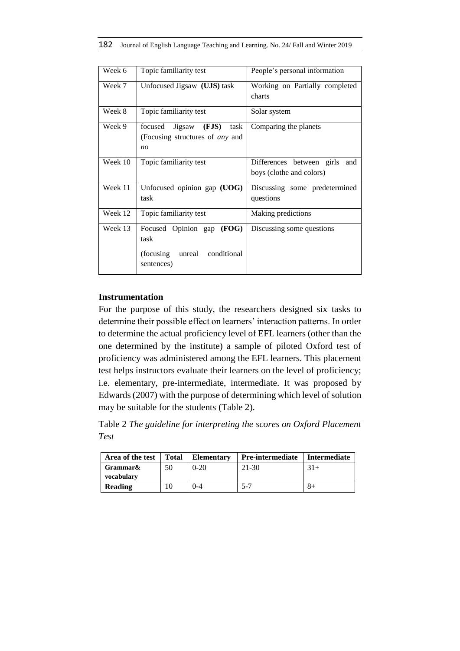| Week 6  | Topic familiarity test                 | People's personal information    |
|---------|----------------------------------------|----------------------------------|
| Week 7  | Unfocused Jigsaw (UJS) task            | Working on Partially completed   |
|         |                                        | charts                           |
|         |                                        |                                  |
| Week 8  | Topic familiarity test                 | Solar system                     |
|         |                                        |                                  |
| Week 9  | (FJS)<br>task<br>focused<br>Jigsaw     | Comparing the planets            |
|         | (Focusing structures of <i>any</i> and |                                  |
|         | n <sub>O</sub>                         |                                  |
|         |                                        |                                  |
| Week 10 | Topic familiarity test                 | Differences between girls<br>and |
|         |                                        | boys (clothe and colors)         |
|         |                                        |                                  |
| Week 11 | Unfocused opinion gap $(UOG)$          | Discussing some predetermined    |
|         | task                                   | questions                        |
|         |                                        |                                  |
| Week 12 | Topic familiarity test                 | Making predictions               |
| Week 13 | Focused Opinion gap (FOG)              | Discussing some questions        |
|         |                                        |                                  |
|         | task                                   |                                  |
|         | (focusing)<br>unreal conditional       |                                  |
|         |                                        |                                  |
|         | sentences)                             |                                  |
|         |                                        |                                  |

### **Instrumentation**

For the purpose of this study, the researchers designed six tasks to determine their possible effect on learners' interaction patterns. In order to determine the actual proficiency level of EFL learners (other than the one determined by the institute) a sample of piloted Oxford test of proficiency was administered among the EFL learners. This placement test helps instructors evaluate their learners on the level of proficiency; i.e. elementary, pre-intermediate, intermediate. It was proposed by Edwards (2007) with the purpose of determining which level of solution may be suitable for the students (Table 2).

Table 2 *The guideline for interpreting the scores on Oxford Placement Test* 

| Area of the test | <b>Total</b> | <b>Elementary</b> | <b>Pre-intermediate</b> | Intermediate |
|------------------|--------------|-------------------|-------------------------|--------------|
| Grammar&         | 50           | $0-20$            | 21-30                   | $31+$        |
| vocabulary       |              |                   |                         |              |
| <b>Reading</b>   |              | $0 - 4$           | $5 - 7$                 | 8+           |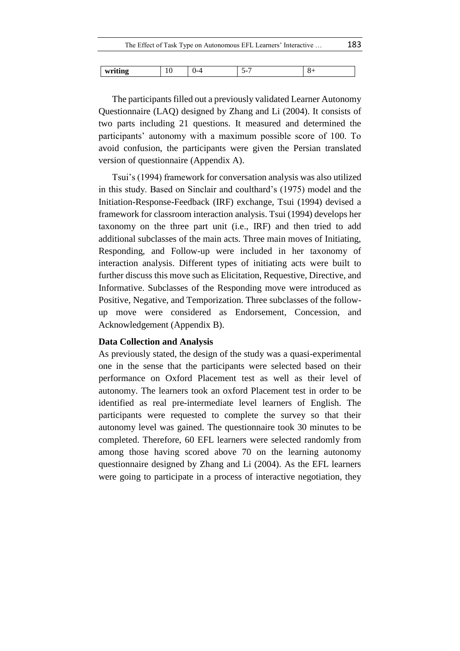| The Effect of Task Type on Autonomous EFL Learners' Interactive | 183 |
|-----------------------------------------------------------------|-----|
|                                                                 |     |

| writing | ╰ | --- | ۰.<br>- - |  |
|---------|---|-----|-----------|--|
|         |   |     |           |  |

The participants filled out a previously validated Learner Autonomy Questionnaire (LAQ) designed by Zhang and Li (2004). It consists of two parts including 21 questions. It measured and determined the participants' autonomy with a maximum possible score of 100. To avoid confusion, the participants were given the Persian translated version of questionnaire (Appendix A).

Tsui's (1994) framework for conversation analysis was also utilized in this study. Based on Sinclair and coulthard's (1975) model and the Initiation-Response-Feedback (IRF) exchange, Tsui (1994) devised a framework for classroom interaction analysis. Tsui (1994) develops her taxonomy on the three part unit (i.e., IRF) and then tried to add additional subclasses of the main acts. Three main moves of Initiating, Responding, and Follow-up were included in her taxonomy of interaction analysis. Different types of initiating acts were built to further discuss this move such as Elicitation, Requestive, Directive, and Informative. Subclasses of the Responding move were introduced as Positive, Negative, and Temporization. Three subclasses of the followup move were considered as Endorsement, Concession, and Acknowledgement (Appendix B).

## **Data Collection and Analysis**

As previously stated, the design of the study was a quasi-experimental one in the sense that the participants were selected based on their performance on Oxford Placement test as well as their level of autonomy. The learners took an oxford Placement test in order to be identified as real pre-intermediate level learners of English. The participants were requested to complete the survey so that their autonomy level was gained. The questionnaire took 30 minutes to be completed. Therefore, 60 EFL learners were selected randomly from among those having scored above 70 on the learning autonomy questionnaire designed by Zhang and Li (2004). As the EFL learners were going to participate in a process of interactive negotiation, they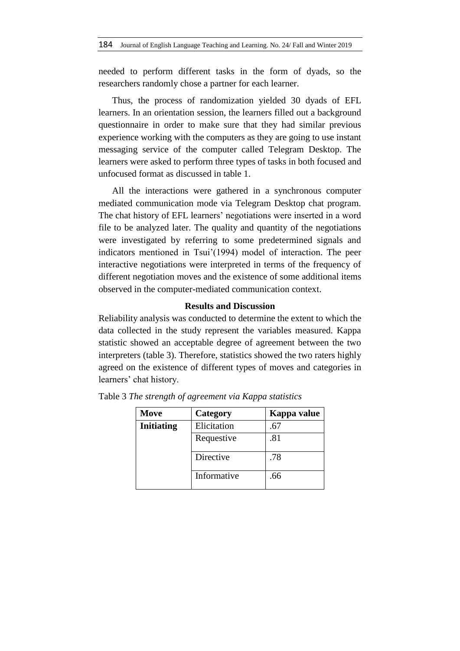needed to perform different tasks in the form of dyads, so the researchers randomly chose a partner for each learner.

Thus, the process of randomization yielded 30 dyads of EFL learners. In an orientation session, the learners filled out a background questionnaire in order to make sure that they had similar previous experience working with the computers as they are going to use instant messaging service of the computer called Telegram Desktop. The learners were asked to perform three types of tasks in both focused and unfocused format as discussed in table 1.

All the interactions were gathered in a synchronous computer mediated communication mode via Telegram Desktop chat program. The chat history of EFL learners' negotiations were inserted in a word file to be analyzed later. The quality and quantity of the negotiations were investigated by referring to some predetermined signals and indicators mentioned in Tsui'(1994) model of interaction. The peer interactive negotiations were interpreted in terms of the frequency of different negotiation moves and the existence of some additional items observed in the computer-mediated communication context.

#### **Results and Discussion**

Reliability analysis was conducted to determine the extent to which the data collected in the study represent the variables measured. Kappa statistic showed an acceptable degree of agreement between the two interpreters (table 3). Therefore, statistics showed the two raters highly agreed on the existence of different types of moves and categories in learners' chat history.

| Move              | Category    | Kappa value |
|-------------------|-------------|-------------|
| <b>Initiating</b> | Elicitation | .67         |
|                   | Requestive  | .81         |
|                   | Directive   | .78         |
|                   | Informative | .66         |

Table 3 *The strength of agreement via Kappa statistics*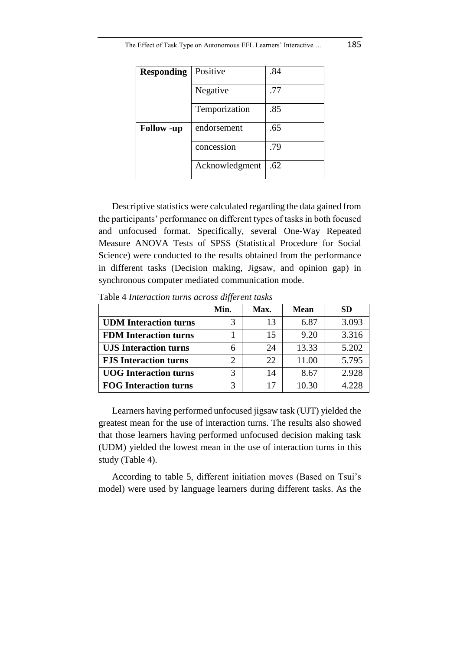| <b>Responding</b> | Positive       | .84 |
|-------------------|----------------|-----|
|                   | Negative       | .77 |
|                   | Temporization  | .85 |
| <b>Follow</b> -up | endorsement    | .65 |
|                   | concession     | .79 |
|                   | Acknowledgment | .62 |

Descriptive statistics were calculated regarding the data gained from the participants' performance on different types of tasks in both focused and unfocused format. Specifically, several One-Way Repeated Measure ANOVA Tests of SPSS (Statistical Procedure for Social Science) were conducted to the results obtained from the performance in different tasks (Decision making, Jigsaw, and opinion gap) in synchronous computer mediated communication mode.

Table 4 *Interaction turns across different tasks*

|                              | Min. | Max. | <b>Mean</b> | SD    |
|------------------------------|------|------|-------------|-------|
| <b>UDM</b> Interaction turns |      | 13   | 6.87        | 3.093 |
| <b>FDM</b> Interaction turns |      | 15   | 9.20        | 3.316 |
| <b>UJS</b> Interaction turns | h    | 24   | 13.33       | 5.202 |
| <b>FJS</b> Interaction turns |      | 22   | 11.00       | 5.795 |
| <b>UOG</b> Interaction turns |      | 14   | 8.67        | 2.928 |
| <b>FOG Interaction turns</b> |      | 17   | 10.30       | 4.228 |

Learners having performed unfocused jigsaw task (UJT) yielded the greatest mean for the use of interaction turns. The results also showed that those learners having performed unfocused decision making task (UDM) yielded the lowest mean in the use of interaction turns in this study (Table 4).

According to table 5, different initiation moves (Based on Tsui's model) were used by language learners during different tasks. As the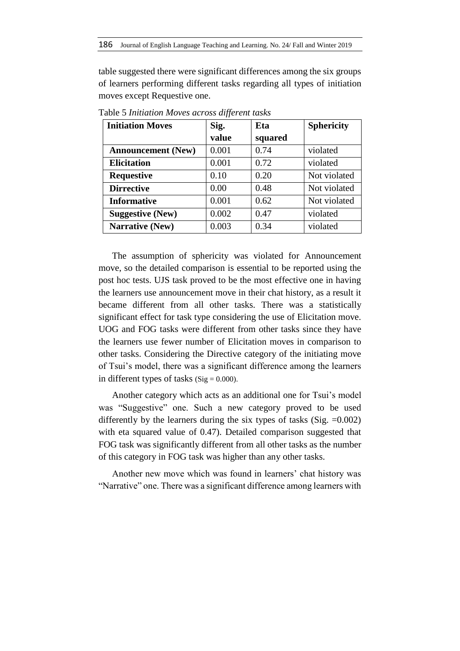table suggested there were significant differences among the six groups of learners performing different tasks regarding all types of initiation moves except Requestive one.

| <b>Initiation Moves</b>   | Sig.  | Eta     | <b>Sphericity</b> |
|---------------------------|-------|---------|-------------------|
|                           | value | squared |                   |
| <b>Announcement</b> (New) | 0.001 | 0.74    | violated          |
| <b>Elicitation</b>        | 0.001 | 0.72    | violated          |
| <b>Requestive</b>         | 0.10  | 0.20    | Not violated      |
| <b>Dirrective</b>         | 0.00  | 0.48    | Not violated      |
| <b>Informative</b>        | 0.001 | 0.62    | Not violated      |
| <b>Suggestive (New)</b>   | 0.002 | 0.47    | violated          |
| <b>Narrative (New)</b>    | 0.003 | 0.34    | violated          |

Table 5 *Initiation Moves across different tasks*

The assumption of sphericity was violated for Announcement move, so the detailed comparison is essential to be reported using the post hoc tests. UJS task proved to be the most effective one in having the learners use announcement move in their chat history, as a result it became different from all other tasks. There was a statistically significant effect for task type considering the use of Elicitation move. UOG and FOG tasks were different from other tasks since they have the learners use fewer number of Elicitation moves in comparison to other tasks. Considering the Directive category of the initiating move of Tsui's model, there was a significant difference among the learners in different types of tasks  $(Sig = 0.000)$ .

Another category which acts as an additional one for Tsui's model was "Suggestive" one. Such a new category proved to be used differently by the learners during the six types of tasks (Sig.  $=0.002$ ) with eta squared value of 0.47). Detailed comparison suggested that FOG task was significantly different from all other tasks as the number of this category in FOG task was higher than any other tasks.

Another new move which was found in learners' chat history was "Narrative" one. There was a significant difference among learners with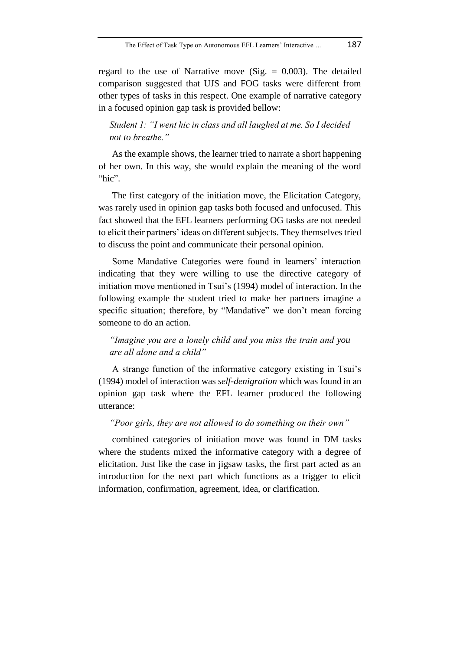regard to the use of Narrative move (Sig.  $= 0.003$ ). The detailed comparison suggested that UJS and FOG tasks were different from other types of tasks in this respect. One example of narrative category in a focused opinion gap task is provided bellow:

*Student 1: "I went hic in class and all laughed at me. So I decided not to breathe."*

As the example shows, the learner tried to narrate a short happening of her own. In this way, she would explain the meaning of the word "hic".

The first category of the initiation move, the Elicitation Category, was rarely used in opinion gap tasks both focused and unfocused. This fact showed that the EFL learners performing OG tasks are not needed to elicit their partners' ideas on different subjects. They themselves tried to discuss the point and communicate their personal opinion.

Some Mandative Categories were found in learners' interaction indicating that they were willing to use the directive category of initiation move mentioned in Tsui's (1994) model of interaction. In the following example the student tried to make her partners imagine a specific situation; therefore, by "Mandative" we don't mean forcing someone to do an action.

# *"Imagine you are a lonely child and you miss the train and you are all alone and a child"*

A strange function of the informative category existing in Tsui's (1994) model of interaction was *self-denigration* which was found in an opinion gap task where the EFL learner produced the following utterance:

*"Poor girls, they are not allowed to do something on their own"*

combined categories of initiation move was found in DM tasks where the students mixed the informative category with a degree of elicitation. Just like the case in jigsaw tasks, the first part acted as an introduction for the next part which functions as a trigger to elicit information, confirmation, agreement, idea, or clarification.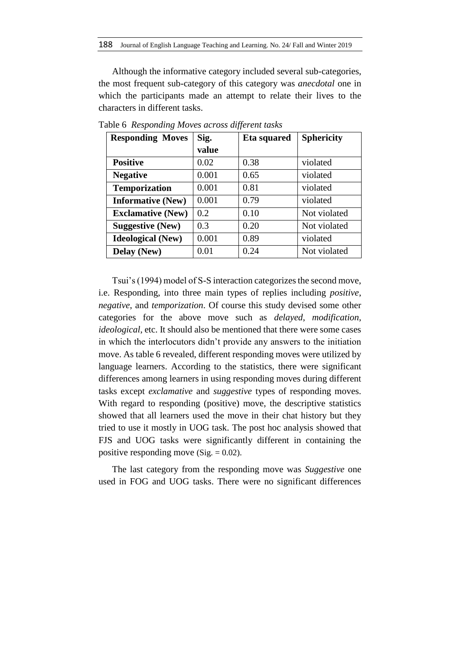Although the informative category included several sub-categories, the most frequent sub-category of this category was *anecdotal* one in which the participants made an attempt to relate their lives to the characters in different tasks.

| <b>Responding Moves</b>  | Sig.  | Eta squared | <b>Sphericity</b> |
|--------------------------|-------|-------------|-------------------|
|                          | value |             |                   |
| <b>Positive</b>          | 0.02  | 0.38        | violated          |
| <b>Negative</b>          | 0.001 | 0.65        | violated          |
| <b>Temporization</b>     | 0.001 | 0.81        | violated          |
| <b>Informative (New)</b> | 0.001 | 0.79        | violated          |
| <b>Exclamative (New)</b> | 0.2   | 0.10        | Not violated      |
| <b>Suggestive (New)</b>  | 0.3   | 0.20        | Not violated      |
| <b>Ideological</b> (New) | 0.001 | 0.89        | violated          |
| Delay (New)              | 0.01  | 0.24        | Not violated      |

Table 6 *Responding Moves across different tasks*

Tsui's (1994) model of S-S interaction categorizes the second move, i.e. Responding, into three main types of replies including *positive*, *negative*, and *temporization*. Of course this study devised some other categories for the above move such as *delayed*, *modification*, *ideological*, etc. It should also be mentioned that there were some cases in which the interlocutors didn't provide any answers to the initiation move. As table 6 revealed, different responding moves were utilized by language learners. According to the statistics, there were significant differences among learners in using responding moves during different tasks except *exclamative* and *suggestive* types of responding moves. With regard to responding (positive) move, the descriptive statistics showed that all learners used the move in their chat history but they tried to use it mostly in UOG task. The post hoc analysis showed that FJS and UOG tasks were significantly different in containing the positive responding move (Sig.  $= 0.02$ ).

The last category from the responding move was *Suggestive* one used in FOG and UOG tasks. There were no significant differences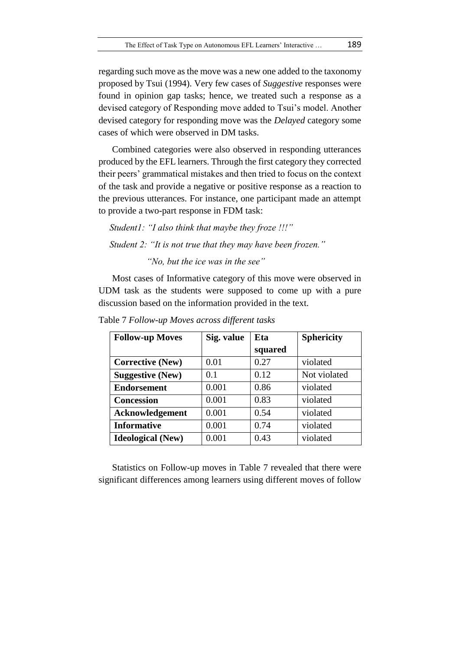regarding such move as the move was a new one added to the taxonomy proposed by Tsui (1994). Very few cases of *Suggestive* responses were found in opinion gap tasks; hence, we treated such a response as a devised category of Responding move added to Tsui's model. Another devised category for responding move was the *Delayed* category some cases of which were observed in DM tasks.

Combined categories were also observed in responding utterances produced by the EFL learners. Through the first category they corrected their peers' grammatical mistakes and then tried to focus on the context of the task and provide a negative or positive response as a reaction to the previous utterances. For instance, one participant made an attempt to provide a two-part response in FDM task:

*Student1: "I also think that maybe they froze !!!" Student 2: "It is not true that they may have been frozen."*

 *"No, but the ice was in the see"* 

Most cases of Informative category of this move were observed in UDM task as the students were supposed to come up with a pure discussion based on the information provided in the text.

| <b>Follow-up Moves</b>   | Sig. value | Eta     | <b>Sphericity</b> |
|--------------------------|------------|---------|-------------------|
|                          |            | squared |                   |
| <b>Corrective (New)</b>  | 0.01       | 0.27    | violated          |
| <b>Suggestive (New)</b>  | 0.1        | 0.12    | Not violated      |
| <b>Endorsement</b>       | 0.001      | 0.86    | violated          |
| <b>Concession</b>        | 0.001      | 0.83    | violated          |
| Acknowledgement          | 0.001      | 0.54    | violated          |
| <b>Informative</b>       | 0.001      | 0.74    | violated          |
| <b>Ideological</b> (New) | 0.001      | 0.43    | violated          |

Table 7 *Follow-up Moves across different tasks*

Statistics on Follow-up moves in Table 7 revealed that there were significant differences among learners using different moves of follow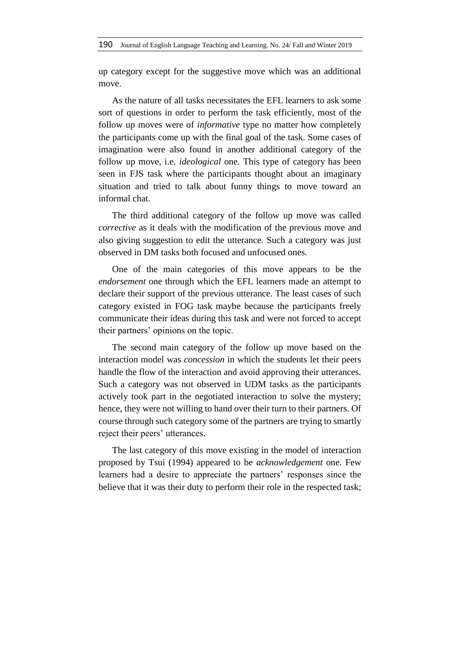up category except for the suggestive move which was an additional move.

As the nature of all tasks necessitates the EFL learners to ask some sort of questions in order to perform the task efficiently, most of the follow up moves were of *informative* type no matter how completely the participants come up with the final goal of the task. Some cases of imagination were also found in another additional category of the follow up move, i.e. *ideological* one. This type of category has been seen in FJS task where the participants thought about an imaginary situation and tried to talk about funny things to move toward an informal chat.

The third additional category of the follow up move was called *corrective* as it deals with the modification of the previous move and also giving suggestion to edit the utterance. Such a category was just observed in DM tasks both focused and unfocused ones.

One of the main categories of this move appears to be the *endorsement* one through which the EFL learners made an attempt to declare their support of the previous utterance. The least cases of such category existed in FOG task maybe because the participants freely communicate their ideas during this task and were not forced to accept their partners' opinions on the topic.

The second main category of the follow up move based on the interaction model was *concession* in which the students let their peers handle the flow of the interaction and avoid approving their utterances. Such a category was not observed in UDM tasks as the participants actively took part in the negotiated interaction to solve the mystery; hence, they were not willing to hand over their turn to their partners. Of course through such category some of the partners are trying to smartly reject their peers' utterances.

The last category of this move existing in the model of interaction proposed by Tsui (1994) appeared to be *acknowledgement* one. Few learners had a desire to appreciate the partners' responses since the believe that it was their duty to perform their role in the respected task;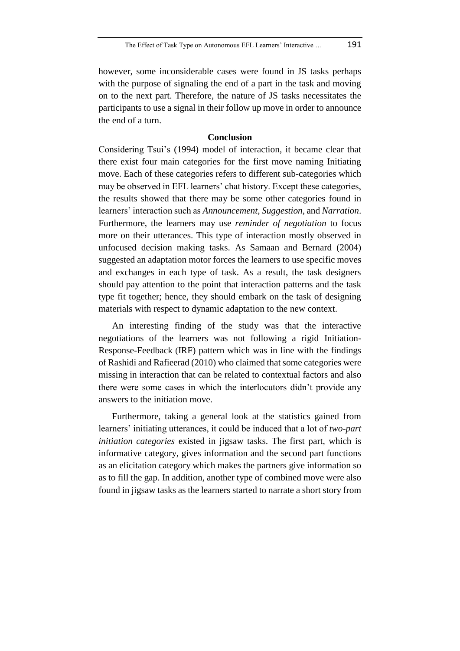however, some inconsiderable cases were found in JS tasks perhaps with the purpose of signaling the end of a part in the task and moving on to the next part. Therefore, the nature of JS tasks necessitates the participants to use a signal in their follow up move in order to announce the end of a turn.

### **Conclusion**

Considering Tsui's (1994) model of interaction, it became clear that there exist four main categories for the first move naming Initiating move. Each of these categories refers to different sub-categories which may be observed in EFL learners' chat history. Except these categories, the results showed that there may be some other categories found in learners' interaction such as *Announcement*, *Suggestion*, and *Narration*. Furthermore, the learners may use *reminder of negotiation* to focus more on their utterances. This type of interaction mostly observed in unfocused decision making tasks. As Samaan and Bernard (2004) suggested an adaptation motor forces the learners to use specific moves and exchanges in each type of task. As a result, the task designers should pay attention to the point that interaction patterns and the task type fit together; hence, they should embark on the task of designing materials with respect to dynamic adaptation to the new context.

An interesting finding of the study was that the interactive negotiations of the learners was not following a rigid Initiation-Response-Feedback (IRF) pattern which was in line with the findings of Rashidi and Rafieerad (2010) who claimed that some categories were missing in interaction that can be related to contextual factors and also there were some cases in which the interlocutors didn't provide any answers to the initiation move.

Furthermore, taking a general look at the statistics gained from learners' initiating utterances, it could be induced that a lot of *two-part initiation categories* existed in jigsaw tasks. The first part, which is informative category, gives information and the second part functions as an elicitation category which makes the partners give information so as to fill the gap. In addition, another type of combined move were also found in jigsaw tasks as the learners started to narrate a short story from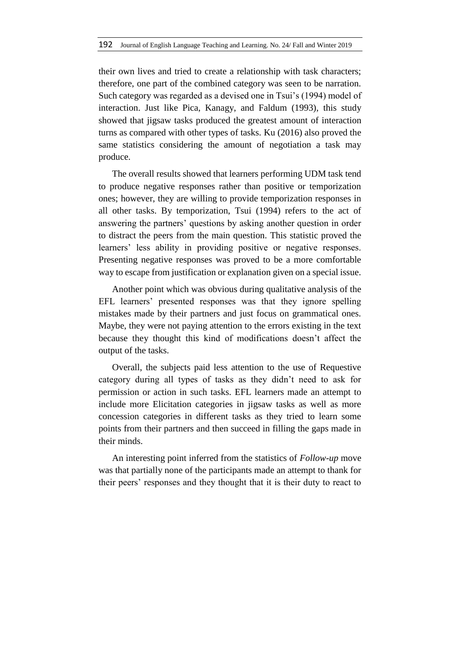their own lives and tried to create a relationship with task characters; therefore, one part of the combined category was seen to be narration. Such category was regarded as a devised one in Tsui's (1994) model of interaction. Just like Pica, Kanagy, and Faldum (1993), this study showed that jigsaw tasks produced the greatest amount of interaction turns as compared with other types of tasks. Ku (2016) also proved the same statistics considering the amount of negotiation a task may produce.

The overall results showed that learners performing UDM task tend to produce negative responses rather than positive or temporization ones; however, they are willing to provide temporization responses in all other tasks. By temporization, Tsui (1994) refers to the act of answering the partners' questions by asking another question in order to distract the peers from the main question. This statistic proved the learners' less ability in providing positive or negative responses. Presenting negative responses was proved to be a more comfortable way to escape from justification or explanation given on a special issue.

Another point which was obvious during qualitative analysis of the EFL learners' presented responses was that they ignore spelling mistakes made by their partners and just focus on grammatical ones. Maybe, they were not paying attention to the errors existing in the text because they thought this kind of modifications doesn't affect the output of the tasks.

Overall, the subjects paid less attention to the use of Requestive category during all types of tasks as they didn't need to ask for permission or action in such tasks. EFL learners made an attempt to include more Elicitation categories in jigsaw tasks as well as more concession categories in different tasks as they tried to learn some points from their partners and then succeed in filling the gaps made in their minds.

An interesting point inferred from the statistics of *Follow-up* move was that partially none of the participants made an attempt to thank for their peers' responses and they thought that it is their duty to react to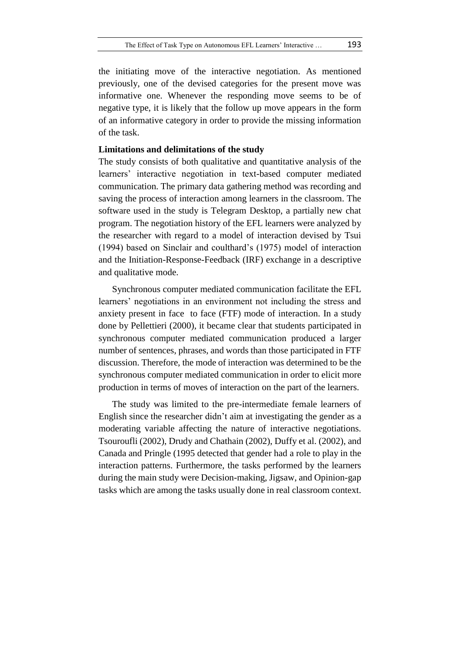the initiating move of the interactive negotiation. As mentioned previously, one of the devised categories for the present move was informative one. Whenever the responding move seems to be of negative type, it is likely that the follow up move appears in the form of an informative category in order to provide the missing information of the task.

### **Limitations and delimitations of the study**

The study consists of both qualitative and quantitative analysis of the learners' interactive negotiation in text-based computer mediated communication. The primary data gathering method was recording and saving the process of interaction among learners in the classroom. The software used in the study is Telegram Desktop, a partially new chat program. The negotiation history of the EFL learners were analyzed by the researcher with regard to a model of interaction devised by Tsui (1994) based on Sinclair and coulthard's (1975) model of interaction and the Initiation-Response-Feedback (IRF) exchange in a descriptive and qualitative mode.

Synchronous computer mediated communication facilitate the EFL learners' negotiations in an environment not including the stress and anxiety present in face to face (FTF) mode of interaction. In a study done by Pellettieri (2000), it became clear that students participated in synchronous computer mediated communication produced a larger number of sentences, phrases, and words than those participated in FTF discussion. Therefore, the mode of interaction was determined to be the synchronous computer mediated communication in order to elicit more production in terms of moves of interaction on the part of the learners.

The study was limited to the pre-intermediate female learners of English since the researcher didn't aim at investigating the gender as a moderating variable affecting the nature of interactive negotiations. Tsouroufli (2002), Drudy and Chathain (2002), Duffy et al. (2002), and Canada and Pringle (1995 detected that gender had a role to play in the interaction patterns. Furthermore, the tasks performed by the learners during the main study were Decision-making, Jigsaw, and Opinion-gap tasks which are among the tasks usually done in real classroom context.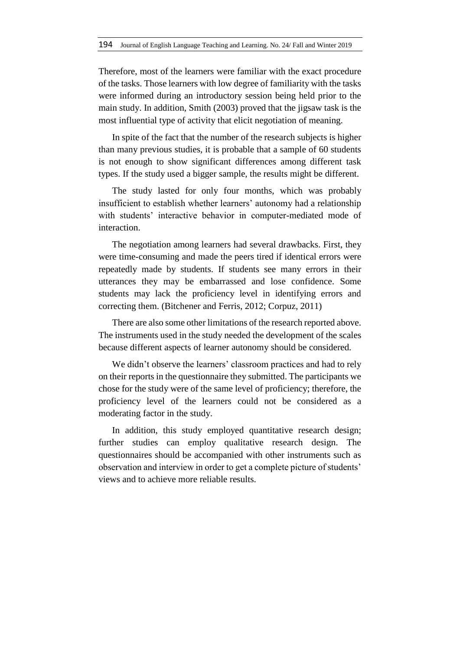Therefore, most of the learners were familiar with the exact procedure of the tasks. Those learners with low degree of familiarity with the tasks were informed during an introductory session being held prior to the main study. In addition, Smith (2003) proved that the jigsaw task is the most influential type of activity that elicit negotiation of meaning.

In spite of the fact that the number of the research subjects is higher than many previous studies, it is probable that a sample of 60 students is not enough to show significant differences among different task types. If the study used a bigger sample, the results might be different.

The study lasted for only four months, which was probably insufficient to establish whether learners' autonomy had a relationship with students' interactive behavior in computer-mediated mode of interaction.

The negotiation among learners had several drawbacks. First, they were time-consuming and made the peers tired if identical errors were repeatedly made by students. If students see many errors in their utterances they may be embarrassed and lose confidence. Some students may lack the proficiency level in identifying errors and correcting them. (Bitchener and Ferris, 2012; Corpuz, 2011)

There are also some other limitations of the research reported above. The instruments used in the study needed the development of the scales because different aspects of learner autonomy should be considered.

We didn't observe the learners' classroom practices and had to rely on their reports in the questionnaire they submitted. The participants we chose for the study were of the same level of proficiency; therefore, the proficiency level of the learners could not be considered as a moderating factor in the study.

In addition, this study employed quantitative research design; further studies can employ qualitative research design. The questionnaires should be accompanied with other instruments such as observation and interview in order to get a complete picture of students' views and to achieve more reliable results.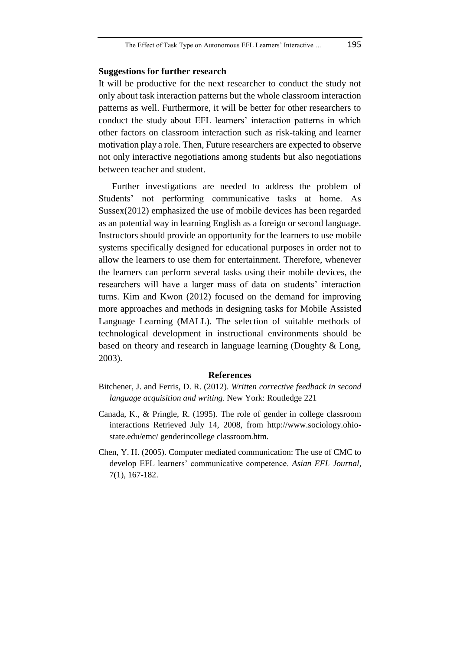#### **Suggestions for further research**

It will be productive for the next researcher to conduct the study not only about task interaction patterns but the whole classroom interaction patterns as well. Furthermore, it will be better for other researchers to conduct the study about EFL learners' interaction patterns in which other factors on classroom interaction such as risk-taking and learner motivation play a role. Then, Future researchers are expected to observe not only interactive negotiations among students but also negotiations between teacher and student.

Further investigations are needed to address the problem of Students' not performing communicative tasks at home. As Sussex(2012) emphasized the use of mobile devices has been regarded as an potential way in learning English as a foreign or second language. Instructors should provide an opportunity for the learners to use mobile systems specifically designed for educational purposes in order not to allow the learners to use them for entertainment. Therefore, whenever the learners can perform several tasks using their mobile devices, the researchers will have a larger mass of data on students' interaction turns. Kim and Kwon (2012) focused on the demand for improving more approaches and methods in designing tasks for Mobile Assisted Language Learning (MALL). The selection of suitable methods of technological development in instructional environments should be based on theory and research in language learning (Doughty & Long, 2003).

#### **References**

- Bitchener, J. and Ferris, D. R. (2012). *Written corrective feedback in second language acquisition and writing*. New York: Routledge 221
- Canada, K., & Pringle, R. (1995). The role of gender in college classroom interactions Retrieved July 14, 2008, from http://www.sociology.ohiostate.edu/emc/ genderincollege classroom.htm.
- Chen, Y. H. (2005). Computer mediated communication: The use of CMC to develop EFL learners' communicative competence. *Asian EFL Journal,* 7(1), 167-182.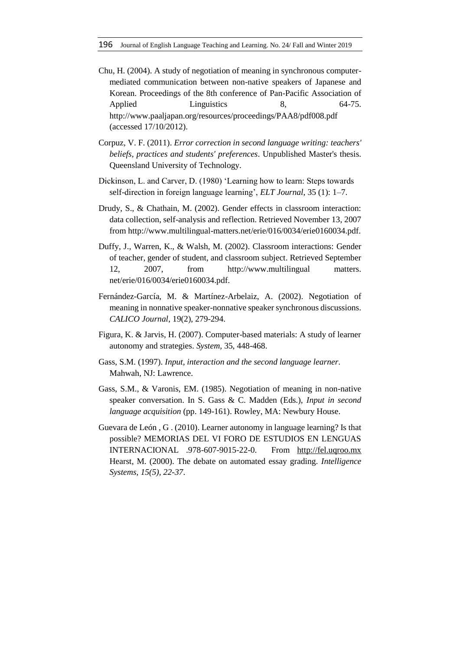- Chu, H. (2004). A study of negotiation of meaning in synchronous computermediated communication between non-native speakers of Japanese and Korean. Proceedings of the 8th conference of Pan-Pacific Association of Applied Linguistics 8, 64-75. http://www.paaljapan.org/resources/proceedings/PAA8/pdf008.pdf (accessed 17/10/2012).
- Corpuz, V. F. (2011). *Error correction in second language writing: teachers' beliefs, practices and students' preferences*. Unpublished Master's thesis. Queensland University of Technology.
- Dickinson, L. and Carver, D. (1980) 'Learning how to learn: Steps towards self-direction in foreign language learning', *ELT Journal*, 35 (1): 1–7.
- Drudy, S., & Chathain, M. (2002). Gender effects in classroom interaction: data collection, self-analysis and reflection. Retrieved November 13, 2007 from http://www.multilingual-matters.net/erie/016/0034/erie0160034.pdf.
- Duffy, J., Warren, K., & Walsh, M. (2002). Classroom interactions: Gender of teacher, gender of student, and classroom subject. Retrieved September 12, 2007, from http://www.multilingual matters. net/erie/016/0034/erie0160034.pdf.
- Fernández-García, M. & Martínez-Arbelaiz, A. (2002). Negotiation of meaning in nonnative speaker-nonnative speaker synchronous discussions. *CALICO Journal*, 19(2), 279-294.
- Figura, K. & Jarvis, H. (2007). Computer-based materials: A study of learner autonomy and strategies. *System,* 35, 448-468.
- Gass, S.M. (1997). *Input, interaction and the second language learner*. Mahwah, NJ: Lawrence.
- Gass, S.M., & Varonis, EM. (1985). Negotiation of meaning in non-native speaker conversation. In S. Gass & C. Madden (Eds.), *Input in second language acquisition* (pp. 149-161). Rowley, MA: Newbury House.
- Guevara de León , G . (2010). Learner autonomy in language learning? Is that possible? MEMORIAS DEL VI FORO DE ESTUDIOS EN LENGUAS INTERNACIONAL .978-607-9015-22-0. From [http://fel.uqroo.mx](http://fel.uqroo.mx/) Hearst, M. (2000). The debate on automated essay grading. *Intelligence Systems, 15(5), 22-37*.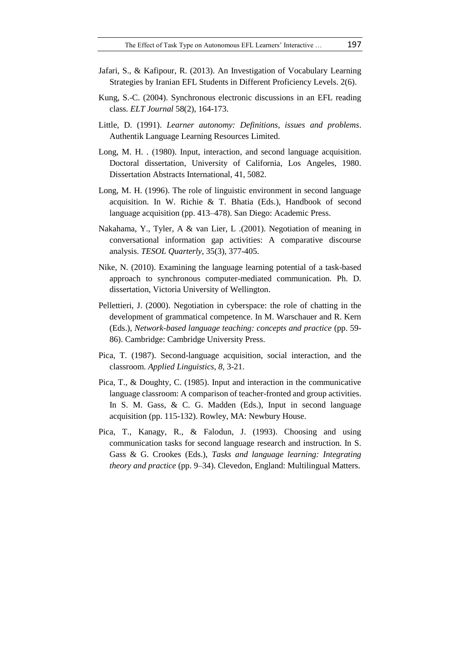- Jafari, S., & Kafipour, R. (2013). An Investigation of Vocabulary Learning Strategies by Iranian EFL Students in Different Proficiency Levels. 2(6).
- Kung, S.-C. (2004). Synchronous electronic discussions in an EFL reading class. *ELT Journal* 58(2), 164-173.
- Little, D. (1991). *Learner autonomy: Definitions, issues and problems*. Authentik Language Learning Resources Limited.
- Long, M. H. . (1980). Input, interaction, and second language acquisition. Doctoral dissertation, University of California, Los Angeles, 1980. Dissertation Abstracts International, 41, 5082.
- Long, M. H. (1996). The role of linguistic environment in second language acquisition. In W. Richie & T. Bhatia (Eds.), Handbook of second language acquisition (pp. 413–478). San Diego: Academic Press.
- Nakahama, Y., Tyler, A & van Lier, L .(2001). Negotiation of meaning in conversational information gap activities: A comparative discourse analysis. *TESOL Quarterly,* 35(3), 377-405.
- Nike, N. (2010). Examining the language learning potential of a task-based approach to synchronous computer-mediated communication. Ph. D. dissertation, Victoria University of Wellington.
- Pellettieri, J. (2000). Negotiation in cyberspace: the role of chatting in the development of grammatical competence. In M. Warschauer and R. Kern (Eds.), *Network-based language teaching: concepts and practice* (pp. 59- 86). Cambridge: Cambridge University Press.
- Pica, T. (1987). Second-language acquisition, social interaction, and the classroom. *Applied Linguistics, 8,* 3-21.
- Pica, T., & Doughty, C. (1985). Input and interaction in the communicative language classroom: A comparison of teacher-fronted and group activities. In S. M. Gass, & C. G. Madden (Eds.), Input in second language acquisition (pp. 115-132). Rowley, MA: Newbury House.
- Pica, T., Kanagy, R., & Falodun, J. (1993). Choosing and using communication tasks for second language research and instruction. In S. Gass & G. Crookes (Eds.), *Tasks and language learning: Integrating theory and practice* (pp. 9–34). Clevedon, England: Multilingual Matters.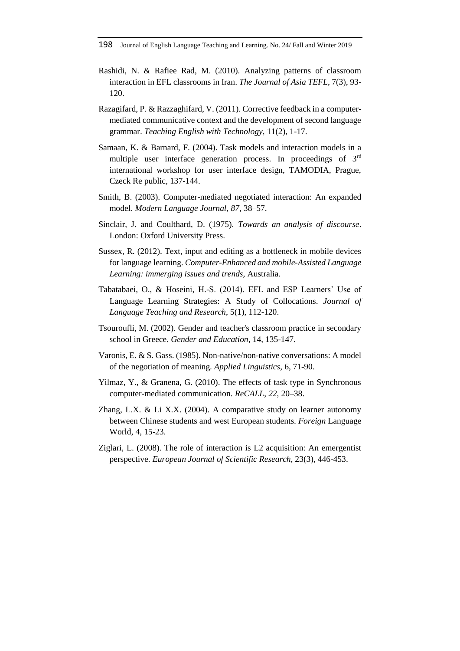- Rashidi, N. & Rafiee Rad, M. (2010). Analyzing patterns of classroom interaction in EFL classrooms in Iran. *The Journal of Asia TEFL*, 7(3), 93- 120.
- Razagifard, P. & Razzaghifard, V. (2011). Corrective feedback in a computermediated communicative context and the development of second language grammar. *Teaching English with Technology,* 11(2), 1-17.
- Samaan, K. & Barnard, F. (2004). Task models and interaction models in a multiple user interface generation process. In proceedings of 3rd international workshop for user interface design, TAMODIA, Prague, Czeck Re public, 137-144.
- Smith, B. (2003). Computer-mediated negotiated interaction: An expanded model. *Modern Language Journal, 87*, 38–57.
- Sinclair, J. and Coulthard, D. (1975). *Towards an analysis of discourse*. London: Oxford University Press.
- Sussex, R. (2012). Text, input and editing as a bottleneck in mobile devices for language learning. *Computer-Enhanced and mobile-Assisted Language Learning: immerging issues and trends,* Australia*.*
- Tabatabaei, O., & Hoseini, H.-S. (2014). EFL and ESP Learners' Use of Language Learning Strategies: A Study of Collocations. *Journal of Language Teaching and Research*, 5(1), 112-120.
- Tsouroufli, M. (2002). Gender and teacher's classroom practice in secondary school in Greece. *Gender and Education*, 14, 135-147.
- Varonis, E. & S. Gass. (1985). Non-native/non-native conversations: A model of the negotiation of meaning. *Applied Linguistics*, 6, 71-90.
- Yilmaz, Y., & Granena, G. (2010). The effects of task type in Synchronous computer-mediated communication. *ReCALL*, *22*, 20–38.
- Zhang, L.X. & Li X.X. (2004). A comparative study on learner autonomy between Chinese students and west European students. *Foreign* Language World, 4, 15-23.
- Ziglari, L. (2008). The role of interaction is L2 acquisition: An emergentist perspective. *European Journal of Scientific Research,* 23(3), 446-453.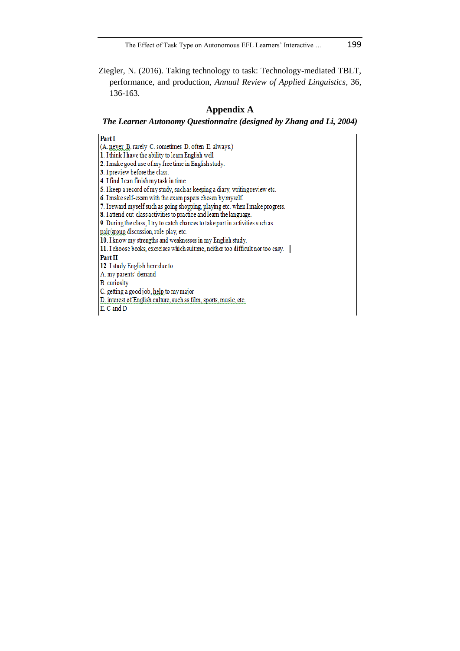Ziegler, N. (2016). Taking technology to task: Technology-mediated TBLT, performance, and production, *Annual Review of Applied Linguistics*, 36, 136-163.

## **Appendix A**

#### *The Learner Autonomy Questionnaire (designed by Zhang and Li, 2004)*

#### Part I

(A. never B. rarely C. sometimes D. often E. always.)

1. I think I have the ability to learn English well

2. I make good use of my free time in English study.

3. I preview before the class.

4. I find I can finish my task in time.

5. I keep a record of my study, such as keeping a diary, writing review etc.

6. I make self-exam with the exam papers chosen by myself.

7. I reward myself such as going shopping, playing etc. when I make progress.

8. I attend out-class activities to practice and learn the language.

9. During the class, I try to catch chances to take part in activities such as

pair/group discussion, role-play, etc.

10. I know my strengths and weaknesses in my English study.

11. I choose books, exercises which suit me, neither too difficult nor too easy.

Part II

12. I study English here due to:

A. my parents' demand

**B.** curiosity

C. getting a good job, help to my major

D. interest of English culture, such as film, sports, music, etc.

E. C and D